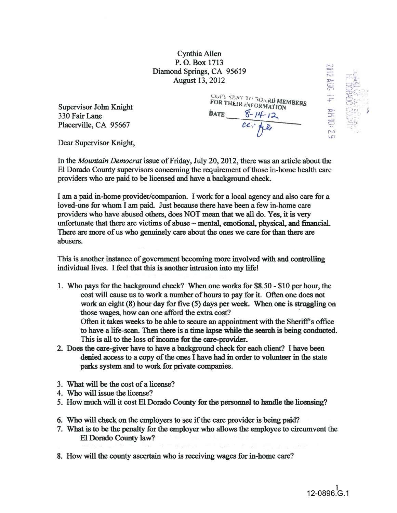Cynthia Allen P. 0. Box 1713 Diamond Springs, CA 95619 August 13, 2012

Supervisor John Knight 330 Fair Lane Placerville, CA 95667

COPY SENT TO BOARD MEMBERS FOR THEIR INFORMATION BATE  $\frac{6-14-12}{12}$ 

**AUG** 

AM IO:

Dear Supervisor Knight,

In the *Mountain Democrat* issue of Friday, July 20,2012, there was an article about the El Dorado County supervisors concerning the requirement of those in-home health care providers who are paid to be licensed and have a background check.

I am a paid in-home provider/companion. I work for a local agency and also care for a loved-one for whom I am paid. Just because there have been a few in-home care providers who have abused others, does NOT mean that we all do. Yes, it is very unfortunate that there are victims of abuse  $\sim$  mental, emotional, physical, and financial. There are more of us who genuinely care about the ones we care for than there are abusers.

This is another instance of government becoming more involved with and controlling individual lives. I feel that this is another intrusion into my life!

- 1. Who pays for the background check? When one works for \$8.50-\$10 per hour, the cost will cause us to work a number of hours to pay for it. Often one does not work an eight (8) hour day for five (5) days per week. When one is struggling on those wages, how can one afford the extra cost? Often it takes weeks to be able to secure an appointment with the Sheriff's office to have a life-scan. Then there is a time lapse while the search is being conducted. This is all to the loss of income for the care-provider.
- 2. Does the care-giver have to have a background check for each client? I have been denied access to a copy of the ones I have had in order to volunteer in the state parks system and to work for private companies.
- 3. What will be the cost of a license?
- 4. Who will issue the license?
- 5. How much will it cost El Dorado County for the personnel to handle the licensing?
- 6. Who will check on the employers to see if the care provider is being paid?
- 7. What is to be the penalty for the employer who allows the employee to circumvent the El Dorado County law?
- 8. How will the county ascertain who is receiving wages for in-home care?